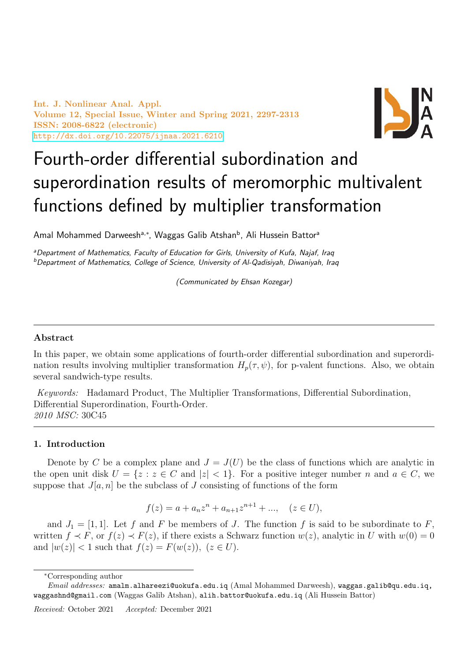Int. J. Nonlinear Anal. Appl. Volume 12, Special Issue, Winter and Spring 2021, 2297-2313 ISSN: 2008-6822 (electronic) <http://dx.doi.org/10.22075/ijnaa.2021.6210>



# Fourth-order differential subordination and superordination results of meromorphic multivalent functions defined by multiplier transformation

Amal Mohammed Darweeshª,\*, Waggas Galib Atshan<sup>b</sup>, Ali Hussein Battorª

aDepartment of Mathematics, Faculty of Education for Girls, University of Kufa, Najaf, Iraq <sup>b</sup>Department of Mathematics, College of Science, University of Al-Qadisiyah, Diwaniyah, Iraq

(Communicated by Ehsan Kozegar)

## Abstract

In this paper, we obtain some applications of fourth-order differential subordination and superordination results involving multiplier transformation  $H_p(\tau, \psi)$ , for p-valent functions. Also, we obtain several sandwich-type results.

Keywords: Hadamard Product, The Multiplier Transformations, Differential Subordination, Differential Superordination, Fourth-Order. 2010 MSC: 30C45

### 1. Introduction

Denote by C be a complex plane and  $J = J(U)$  be the class of functions which are analytic in the open unit disk  $U = \{z : z \in C \text{ and } |z| < 1\}$ . For a positive integer number n and  $a \in C$ , we suppose that  $J[a, n]$  be the subclass of J consisting of functions of the form

$$
f(z) = a + a_n z^n + a_{n+1} z^{n+1} + \dots, \quad (z \in U),
$$

and  $J_1 = [1, 1]$ . Let f and F be members of J. The function f is said to be subordinate to F, written  $f \prec F$ , or  $f(z) \prec F(z)$ , if there exists a Schwarz function  $w(z)$ , analytic in U with  $w(0) = 0$ and  $|w(z)| < 1$  such that  $f(z) = F(w(z))$ ,  $(z \in U)$ .

<sup>∗</sup>Corresponding author

Email addresses: amalm.alhareezi@uokufa.edu.iq (Amal Mohammed Darweesh), waggas.galib@qu.edu.iq, waggashnd@gmail.com (Waggas Galib Atshan), alih.battor@uokufa.edu.iq (Ali Hussein Battor)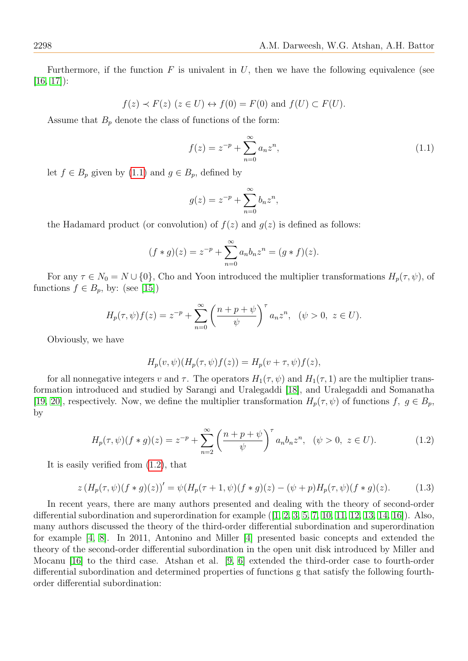Furthermore, if the function  $F$  is univalent in  $U$ , then we have the following equivalence (see  $[16, 17]$  $[16, 17]$ :

$$
f(z) \prec F(z)
$$
  $(z \in U) \leftrightarrow f(0) = F(0)$  and  $f(U) \subset F(U)$ .

Assume that  $B_p$  denote the class of functions of the form:

<span id="page-1-0"></span>
$$
f(z) = z^{-p} + \sum_{n=0}^{\infty} a_n z^n,
$$
\n(1.1)

let  $f \in B_p$  given by  $(1.1)$  and  $g \in B_p$ , defined by

$$
g(z) = z^{-p} + \sum_{n=0}^{\infty} b_n z^n,
$$

the Hadamard product (or convolution) of  $f(z)$  and  $g(z)$  is defined as follows:

$$
(f * g)(z) = z^{-p} + \sum_{n=0}^{\infty} a_n b_n z^n = (g * f)(z).
$$

For any  $\tau \in N_0 = N \cup \{0\}$ , Cho and Yoon introduced the multiplier transformations  $H_p(\tau, \psi)$ , of functions  $f \in B_p$ , by: (see [\[15\]](#page-16-2))

$$
H_p(\tau, \psi) f(z) = z^{-p} + \sum_{n=0}^{\infty} \left( \frac{n+p+\psi}{\psi} \right)^{\tau} a_n z^n, \quad (\psi > 0, \ z \in U).
$$

Obviously, we have

$$
H_p(v, \psi)(H_p(\tau, \psi)f(z)) = H_p(v + \tau, \psi)f(z),
$$

for all nonnegative integers v and  $\tau$ . The operators  $H_1(\tau, \psi)$  and  $H_1(\tau, 1)$  are the multiplier transformation introduced and studied by Sarangi and Uralegaddi [\[18\]](#page-16-3), and Uralegaddi and Somanatha [\[19,](#page-16-4) [20\]](#page-16-5), respectively. Now, we define the multiplier transformation  $H_p(\tau, \psi)$  of functions  $f, g \in B_p$ , by

<span id="page-1-1"></span>
$$
H_p(\tau, \psi)(f * g)(z) = z^{-p} + \sum_{n=2}^{\infty} \left(\frac{n+p+\psi}{\psi}\right)^{\tau} a_n b_n z^n, \quad (\psi > 0, \ z \in U). \tag{1.2}
$$

It is easily verified from [\(1.2\)](#page-1-1), that

<span id="page-1-2"></span>
$$
z(H_p(\tau, \psi)(f * g)(z))' = \psi(H_p(\tau + 1, \psi)(f * g)(z) - (\psi + p)H_p(\tau, \psi)(f * g)(z).
$$
 (1.3)

In recent years, there are many authors presented and dealing with the theory of second-order differential subordination and superordination for example  $(1, 2, 3, 5, 7, 10, 11, 12, 13, 14, 16)$  $(1, 2, 3, 5, 7, 10, 11, 12, 13, 14, 16)$  $(1, 2, 3, 5, 7, 10, 11, 12, 13, 14, 16)$  $(1, 2, 3, 5, 7, 10, 11, 12, 13, 14, 16)$  $(1, 2, 3, 5, 7, 10, 11, 12, 13, 14, 16)$  $(1, 2, 3, 5, 7, 10, 11, 12, 13, 14, 16)$  $(1, 2, 3, 5, 7, 10, 11, 12, 13, 14, 16)$  $(1, 2, 3, 5, 7, 10, 11, 12, 13, 14, 16)$  $(1, 2, 3, 5, 7, 10, 11, 12, 13, 14, 16)$  $(1, 2, 3, 5, 7, 10, 11, 12, 13, 14, 16)$  $(1, 2, 3, 5, 7, 10, 11, 12, 13, 14, 16)$ . Also, many authors discussed the theory of the third-order differential subordination and superordination for example [\[4,](#page-16-16) [8\]](#page-16-17). In 2011, Antonino and Miller [\[4\]](#page-16-16) presented basic concepts and extended the theory of the second-order differential subordination in the open unit disk introduced by Miller and Mocanu [\[16\]](#page-16-0) to the third case. Atshan et al. [\[9,](#page-16-18) [6\]](#page-16-19) extended the third-order case to fourth-order differential subordination and determined properties of functions g that satisfy the following fourthorder differential subordination: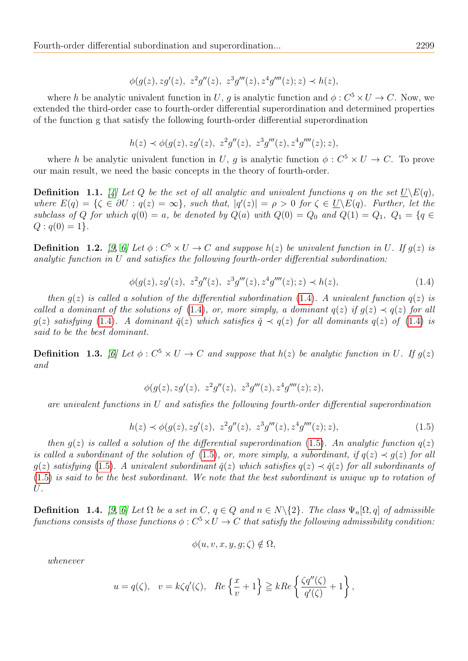$$
\phi(g(z), zg'(z), z^2g''(z), z^3g'''(z), z^4g''''(z); z) \prec h(z),
$$

where h be analytic univalent function in U, g is analytic function and  $\phi: C^5 \times U \to C$ . Now, we extended the third-order case to fourth-order differential superordination and determined properties of the function g that satisfy the following fourth-order differential superordination

$$
h(z) \prec \phi(g(z), zg'(z), z^2g''(z), z^3g'''(z), z^4g''''(z); z),
$$

where h be analytic univalent function in U, g is analytic function  $\phi : C^5 \times U \to C$ . To prove our main result, we need the basic concepts in the theory of fourth-order.

**Definition 1.1.** [\[4\]](#page-16-16) Let Q be the set of all analytic and univalent functions q on the set  $\underline{U}\backslash E(q)$ , where  $E(q) = \{\zeta \in \partial U : q(z) = \infty\}$ , such that,  $|q'(z)| = \rho > 0$  for  $\zeta \in \underline{U} \setminus E(q)$ . Further, let the subclass of Q for which  $q(0) = a$ , be denoted by  $Q(a)$  with  $Q(0) = Q_0$  and  $Q(1) = Q_1$ ,  $Q_1 = \{q \in$  $Q: q(0) = 1$ .

<span id="page-2-3"></span>**Definition** 1.2. [\[9,](#page-16-18) [6\]](#page-16-19) Let  $\phi: C^5 \times U \to C$  and suppose  $h(z)$  be univalent function in U. If  $g(z)$  is analytic function in U and satisfies the following fourth-order differential subordination:

<span id="page-2-0"></span>
$$
\phi(g(z), zg'(z), z^2g''(z), z^3g'''(z), z^4g''''(z); z) \prec h(z), \tag{1.4}
$$

then  $q(z)$  is called a solution of the differential subordination [\(1.4\)](#page-2-0). A univalent function  $q(z)$  is called a dominant of the solutions of [\(1.4\)](#page-2-0), or, more simply, a dominant  $q(z)$  if  $q(z) \prec q(z)$  for all  $g(z)$  satisfying [\(1.4\)](#page-2-0). A dominant  $\check{q}(z)$  which satisfies  $\check{q} \prec q(z)$  for all dominants  $q(z)$  of (1.4) is said to be the best dominant.

**Definition** 1.3. [\[6\]](#page-16-19) Let  $\phi: C^5 \times U \to C$  and suppose that  $h(z)$  be analytic function in U. If  $g(z)$ and

$$
\phi(g(z),zg'(z),\ z^2g''(z),\ z^3g'''(z),z^4g''''(z);z),
$$

are univalent functions in U and satisfies the following fourth-order differential superordination

<span id="page-2-1"></span>
$$
h(z) \prec \phi(g(z), zg'(z), z^2g''(z), z^3g'''(z), z^4g''''(z); z), \tag{1.5}
$$

then  $q(z)$  is called a solution of the differential superordination [\(1.5\)](#page-2-1). An analytic function  $q(z)$ is called a subordinant of the solution of [\(1.5\)](#page-2-1), or, more simply, a subordinant, if  $q(z) \prec q(z)$  for all  $g(z)$  satisfying [\(1.5\)](#page-2-1). A univalent subordinant  $\check{q}(z)$  which satisfies  $q(z) \prec \check{q}(z)$  for all subordinants of [\(1.5\)](#page-2-1) is said to be the best subordinant. We note that the best subordinant is unique up to rotation of U.

<span id="page-2-2"></span>**Definition** 1.4. [\[9,](#page-16-18) [6\]](#page-16-19) Let  $\Omega$  be a set in C,  $q \in Q$  and  $n \in N \setminus \{2\}$ . The class  $\Psi_n[\Omega, q]$  of admissible functions consists of those functions  $\phi: C^5 \times U \to C$  that satisfy the following admissibility condition.

$$
\phi(u, v, x, y, g; \zeta) \notin \Omega,
$$

whenever

$$
u=q(\zeta),\quad v=k\zeta q'(\zeta),\quad Re\left\{\frac{x}{v}+1\right\}\geqq kRe\left\{\frac{\zeta q''(\zeta)}{q'(\zeta)}+1\right\},
$$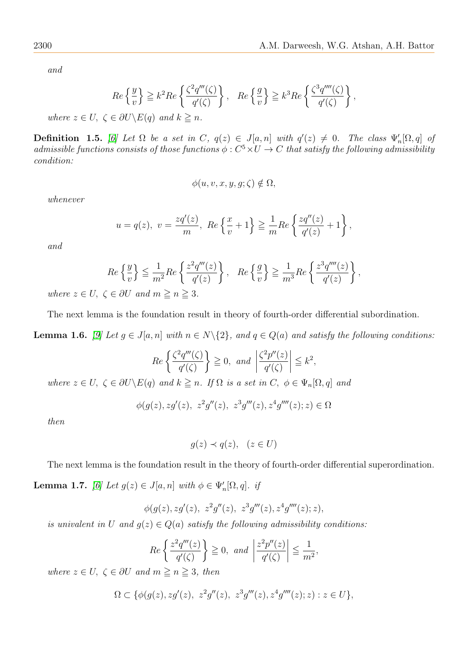and

$$
Re\left\{\frac{y}{v}\right\} \geq k^2 Re\left\{\frac{\zeta^2 q'''(\zeta)}{q'(\zeta)}\right\}, \quad Re\left\{\frac{g}{v}\right\} \geq k^3 Re\left\{\frac{\zeta^3 q''''(\zeta)}{q'(\zeta)}\right\},\
$$

where  $z \in U$ ,  $\zeta \in \partial U \backslash E(q)$  and  $k \geq n$ .

<span id="page-3-1"></span>**Definition** 1.5. [\[6\]](#page-16-19) Let  $\Omega$  be a set in  $C$ ,  $q(z) \in J[a,n]$  with  $q'(z) \neq 0$ . The class  $\Psi'_n[\Omega, q]$  of admissible functions consists of those functions  $\phi : C^5 \times U \to C$  that satisfy the following admissibility condition:

$$
\phi(u, v, x, y, g; \zeta) \notin \Omega,
$$

whenever

$$
u = q(z), v = \frac{zq'(z)}{m}, Re\left\{\frac{x}{v} + 1\right\} \ge \frac{1}{m} Re\left\{\frac{zq''(z)}{q'(z)} + 1\right\},\
$$

and

$$
Re\left\{\frac{y}{v}\right\} \leq \frac{1}{m^2} Re\left\{\frac{z^2 q'''(z)}{q'(z)}\right\}, \quad Re\left\{\frac{g}{v}\right\} \geq \frac{1}{m^3} Re\left\{\frac{z^3 q''''(z)}{q'(z)}\right\},
$$

where  $z \in U$ ,  $\zeta \in \partial U$  and  $m \geq n \geq 3$ .

The next lemma is the foundation result in theory of fourth-order differential subordination.

<span id="page-3-0"></span>**Lemma 1.6.** [\[9\]](#page-16-18) Let  $g \in J[a, n]$  with  $n \in N \setminus \{2\}$ , and  $q \in Q(a)$  and satisfy the following conditions:

$$
Re\left\{\frac{\zeta^2 q'''(\zeta)}{q'(\zeta)}\right\} \geqq 0, \ \ and \ \ \left|\frac{\zeta^2 p''(z)}{q'(\zeta)}\right| \leqq k^2,
$$

where  $z \in U$ ,  $\zeta \in \partial U \backslash E(q)$  and  $k \geq n$ . If  $\Omega$  is a set in  $C$ ,  $\phi \in \Psi_n[\Omega, q]$  and

$$
\phi(g(z), zg'(z), z^2g''(z), z^3g'''(z), z^4g''''(z); z) \in \Omega
$$

then

$$
g(z) \prec q(z), \quad (z \in U)
$$

The next lemma is the foundation result in the theory of fourth-order differential superordination.

<span id="page-3-2"></span>**Lemma 1.7.** [\[6\]](#page-16-19) Let  $g(z) \in J[a, n]$  with  $\phi \in \Psi'_n[\Omega, q]$ . if

$$
\phi(g(z), zg'(z), z^2g''(z), z^3g'''(z), z^4g''''(z); z),
$$

is univalent in U and  $g(z) \in Q(a)$  satisfy the following admissibility conditions:

$$
Re\left\{\frac{z^2q'''(z)}{q'(\zeta)}\right\} \ge 0, \text{ and } \left|\frac{z^2p''(z)}{q'(\zeta)}\right| \le \frac{1}{m^2},
$$

where  $z \in U$ ,  $\zeta \in \partial U$  and  $m \geq n \geq 3$ , then

$$
\Omega \subset \{\phi(g(z), zg'(z), z^2g''(z), z^3g'''(z), z^4g''''(z); z) : z \in U\},\
$$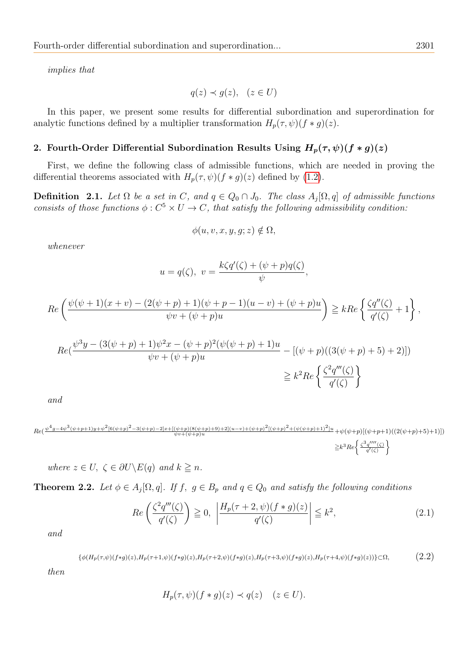implies that

$$
q(z) \prec g(z), \quad (z \in U)
$$

In this paper, we present some results for differential subordination and superordination for analytic functions defined by a multiplier transformation  $H_p(\tau, \psi)(f * g)(z)$ .

# 2. Fourth-Order Differential Subordination Results Using  $H_p(\tau, \psi)(f * g)(z)$

First, we define the following class of admissible functions, which are needed in proving the differential theorems associated with  $H_p(\tau, \psi)(f * g)(z)$  defined by [\(1.2\)](#page-1-1).

<span id="page-4-1"></span>**Definition** 2.1. Let  $\Omega$  be a set in C, and  $q \in Q_0 \cap J_0$ . The class  $A_j[\Omega, q]$  of admissible functions consists of those functions  $\phi: C^5 \times U \to C$ , that satisfy the following admissibility condition.

$$
\phi(u, v, x, y, g; z) \notin \Omega,
$$

whenever

$$
u = q(\zeta), \ v = \frac{k\zeta q'(\zeta) + (\psi + p)q(\zeta)}{\psi},
$$

$$
Re\left(\frac{\psi(\psi+1)(x+v) - (2(\psi+p)+1)(\psi+p-1)(u-v) + (\psi+p)u}{\psi v + (\psi+p)u}\right) \geq kRe\left\{\frac{\zeta q''(\zeta)}{q'(\zeta)} + 1\right\},\,
$$

$$
Re\left(\frac{\psi^3 y - (3(\psi + p) + 1)\psi^2 x - (\psi + p)^2(\psi(\psi + p) + 1)u}{\psi v + (\psi + p)u} - [(\psi + p)((3(\psi + p) + 5) + 2)])\right)
$$
  

$$
\geq k^2 Re\left\{\frac{\zeta^2 q'''(\zeta)}{q'(\zeta)}\right\}
$$

and

 $Re(\frac{\psi^4g-4\psi^3(\psi+p+1)y+\psi^2[6(\psi+p)^2-3(\psi+p)-2]x+[(\psi+p)(8(\psi+p)+9)+2](u-v)+(\psi+p)^2[(\psi+p)^2+(\psi(\psi+p)+1)^2]u}{\psi v+(\psi+p)u}+\psi(\psi+p)[(\psi+p+1)((2(\psi+p)+5)+1)])$  $\geq k^3 Re \bigg\{ \frac{\zeta^3 q''''(\zeta)}{q'(\zeta)}$  $\lambda$ 

where  $z \in U$ ,  $\zeta \in \partial U \backslash E(q)$  and  $k \geq n$ .

<span id="page-4-2"></span>**Theorem 2.2.** Let  $\phi \in A_j[\Omega, q]$ . If  $f, g \in B_p$  and  $q \in Q_0$  and satisfy the following conditions

<span id="page-4-3"></span>
$$
Re\left(\frac{\zeta^2 q'''(\zeta)}{q'(\zeta)}\right) \ge 0, \left|\frac{H_p(\tau+2,\psi)(f*g)(z)}{q'(\zeta)}\right| \le k^2,\tag{2.1}
$$

and

<span id="page-4-0"></span>
$$
\{\phi(H_p(\tau,\psi)(f*g)(z),H_p(\tau+1,\psi)(f*g)(z),H_p(\tau+2,\psi)(f*g)(z),H_p(\tau+3,\psi)(f*g)(z),H_p(\tau+4,\psi)(f*g)(z))\}\subset\Omega,\tag{2.2}
$$

then

$$
H_p(\tau, \psi)(f * g)(z) \prec q(z) \quad (z \in U).
$$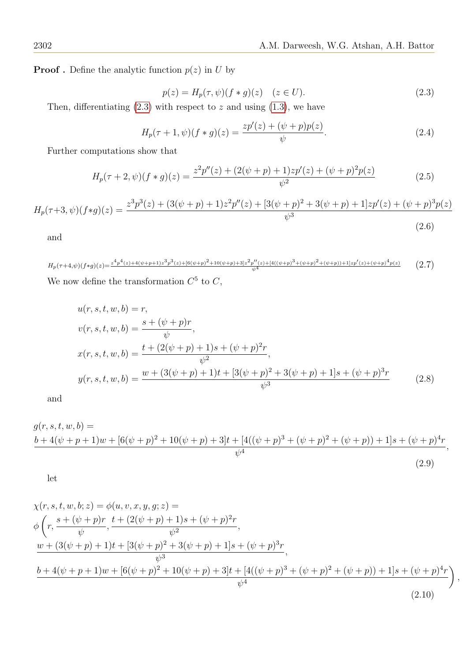<span id="page-5-5"></span><span id="page-5-4"></span><span id="page-5-3"></span>,

**Proof**. Define the analytic function  $p(z)$  in U by

<span id="page-5-0"></span>
$$
p(z) = H_p(\tau, \psi)(f * g)(z) \quad (z \in U).
$$
 (2.3)

Then, differentiating  $(2.3)$  with respect to z and using  $(1.3)$ , we have

<span id="page-5-1"></span>
$$
H_p(\tau + 1, \psi)(f * g)(z) = \frac{zp'(z) + (\psi + p)p(z)}{\psi}.
$$
\n(2.4)

Further computations show that

$$
H_p(\tau + 2, \psi)(f * g)(z) = \frac{z^2 p''(z) + (2(\psi + p) + 1)zp'(z) + (\psi + p)^2 p(z)}{\psi^2}
$$
(2.5)

<span id="page-5-6"></span>
$$
H_p(\tau+3,\psi)(f*g)(z) = \frac{z^3p^3(z) + (3(\psi+p) + 1)z^2p''(z) + [3(\psi+p)^2 + 3(\psi+p) + 1]zp'(z) + (\psi+p)^3p(z)}{\psi^3}
$$
(2.6)

and

<span id="page-5-2"></span>Hp(τ+4,ψ)(f∗g)(z)= <sup>z</sup> 4p 4(z)+4(ψ+p+1)z 3p 3(z)+[6(ψ+p) 2+10(ψ+p)+3]z 2p ′′(z)+[4((ψ+p) 3+(ψ+p) 2+(ψ+p))+1]zp′ (z)+(ψ+p) 4p(z)  $\overline{\psi^4}$ (2.7) We now define the transformation  $C^5$  to  $C$ ,

$$
u(r, s, t, w, b) = r,
$$
  
\n
$$
v(r, s, t, w, b) = \frac{s + (\psi + p)r}{\psi},
$$
  
\n
$$
x(r, s, t, w, b) = \frac{t + (2(\psi + p) + 1)s + (\psi + p)^{2}r}{\psi^{2}},
$$
  
\n
$$
y(r, s, t, w, b) = \frac{w + (3(\psi + p) + 1)t + [3(\psi + p)^{2} + 3(\psi + p) + 1]s + (\psi + p)^{3}r}{\psi^{3}}
$$
(2.8)

and

$$
g(r, s, t, w, b) =
$$
  
\n
$$
\frac{b + 4(\psi + p + 1)w + [6(\psi + p)^{2} + 10(\psi + p) + 3]t + [4((\psi + p)^{3} + (\psi + p)^{2} + (\psi + p)) + 1]s + (\psi + p)^{4}r}{\psi^{4}},
$$
\n(2.9)

let

$$
\chi(r, s, t, w, b; z) = \phi(u, v, x, y, g; z) =
$$
\n
$$
\phi\left(r, \frac{s + (\psi + p)r}{\psi}, \frac{t + (2(\psi + p) + 1)s + (\psi + p)^2r}{\psi^2}, \frac{\psi^2}{\psi^3}, \frac{\psi^3}{\psi^4}\right)
$$
\n
$$
\frac{u + (3(\psi + p) + 1)t + [3(\psi + p)^2 + 3(\psi + p) + 1]s + (\psi + p)^3r}{\psi^3}, \frac{b + 4(\psi + p + 1)w + [6(\psi + p)^2 + 10(\psi + p) + 3]t + [4((\psi + p)^3 + (\psi + p)^2 + (\psi + p)) + 1]s + (\psi + p)^4r}{\psi^4}\right)
$$
\n(2.10)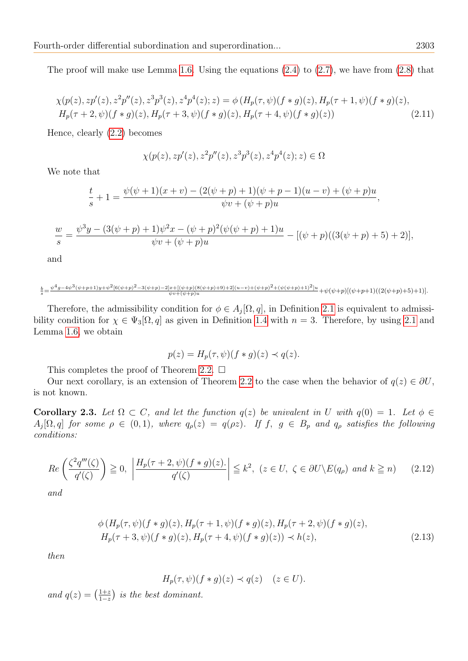The proof will make use Lemma [1.6.](#page-3-0) Using the equations [\(2.4\)](#page-5-1) to [\(2.7\)](#page-5-2), we have from [\(2.8\)](#page-5-3) that

$$
\chi(p(z), zp'(z), z^2p''(z), z^3p^3(z), z^4p^4(z); z) = \phi(H_p(\tau, \psi)(f * g)(z), H_p(\tau + 1, \psi)(f * g)(z),
$$
  
\n
$$
H_p(\tau + 2, \psi)(f * g)(z), H_p(\tau + 3, \psi)(f * g)(z), H_p(\tau + 4, \psi)(f * g)(z))
$$
\n(2.11)

Hence, clearly [\(2.2\)](#page-4-0) becomes

<span id="page-6-2"></span>
$$
\chi(p(z), z p'(z), z^2 p''(z), z^3 p^3(z), z^4 p^4(z); z) \in \Omega
$$

We note that

$$
\frac{t}{s} + 1 = \frac{\psi(\psi + 1)(x + v) - (2(\psi + p) + 1)(\psi + p - 1)(u - v) + (\psi + p)u}{\psi v + (\psi + p)u},
$$

$$
\frac{w}{s} = \frac{\psi^3 y - (3(\psi + p) + 1)\psi^2 x - (\psi + p)^2(\psi(\psi + p) + 1)u}{\psi v + (\psi + p)u} - [(\psi + p)((3(\psi + p) + 5) + 2)],
$$

and

$$
\tfrac{b}{s}=\tfrac{\psi^4g-4\psi^3(\psi+p+1)y+\psi^2[6(\psi+p)^2-3(\psi+p)-2]x+[(\psi+p)(8(\psi+p)+9)+2](u-v)+(\psi+p)^2+(\psi(\psi+p)+1)^2]u}{\psi v+(\psi+p)u}+\psi(\psi+p)^2+(\psi(\psi+p)+1)^2u+\psi(\psi+p)([(\psi+p+1)((2(\psi+p)+5)+1)]u
$$

Therefore, the admissibility condition for  $\phi \in A_j[\Omega, q]$ , in Definition [2.1](#page-4-1) is equivalent to admissibility condition for  $\chi \in \Psi_3[\Omega, q]$  as given in Definition [1.4](#page-2-2) with  $n = 3$ . Therefore, by using [2.1](#page-4-1) and Lemma [1.6,](#page-3-0) we obtain

$$
p(z) = H_p(\tau, \psi)(f * g)(z) \prec q(z).
$$

This completes the proof of Theorem [2.2.](#page-4-2)  $\square$ 

Our next corollary, is an extension of Theorem [2.2](#page-4-2) to the case when the behavior of  $q(z) \in \partial U$ , is not known.

<span id="page-6-0"></span>Corollary 2.3. Let  $\Omega \subset C$ , and let the function  $q(z)$  be univalent in U with  $q(0) = 1$ . Let  $\phi \in C$  $A_j[\Omega, q]$  for some  $\rho \in (0, 1)$ , where  $q_\rho(z) = q(\rho z)$ . If  $f, g \in B_p$  and  $q_\rho$  satisfies the following conditions:

<span id="page-6-1"></span>
$$
Re\left(\frac{\zeta^2 q'''(\zeta)}{q'(\zeta)}\right) \geqq 0, \ \left|\frac{H_p(\tau+2,\psi)(f*g)(z)}{q'(\zeta)}\right| \leqq k^2, \ (z \in U, \ \zeta \in \partial U \setminus E(q_\rho) \ and \ k \geqq n) \tag{2.12}
$$

and

$$
\phi(H_p(\tau, \psi)(f * g)(z), H_p(\tau + 1, \psi)(f * g)(z), H_p(\tau + 2, \psi)(f * g)(z),
$$
  
\n
$$
H_p(\tau + 3, \psi)(f * g)(z), H_p(\tau + 4, \psi)(f * g)(z)) \prec h(z),
$$
\n(2.13)

then

$$
H_p(\tau, \psi)(f * g)(z) \prec q(z) \quad (z \in U).
$$

and  $q(z) = \left(\frac{1+z}{1-z}\right)$  $\frac{1+z}{1-z}$ ) is the best dominant.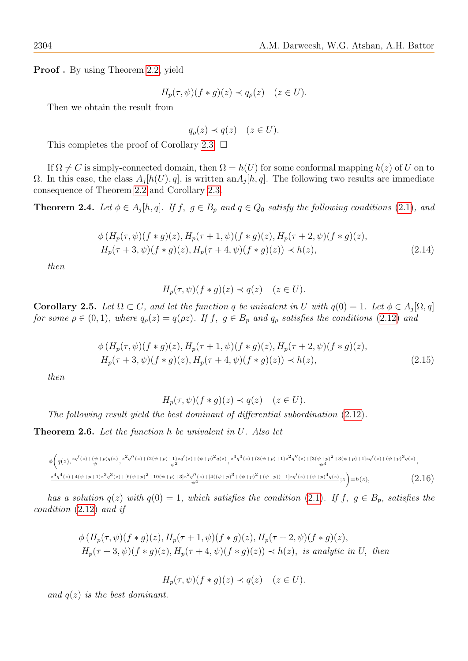**Proof.** By using Theorem [2.2,](#page-4-2) yield

$$
H_p(\tau, \psi)(f * g)(z) \prec q_\rho(z) \quad (z \in U).
$$

Then we obtain the result from

$$
q_{\rho}(z) \prec q(z) \quad (z \in U).
$$

This completes the proof of Corollary [2.3.](#page-6-0)  $\Box$ 

If  $\Omega \neq C$  is simply-connected domain, then  $\Omega = h(U)$  for some conformal mapping  $h(z)$  of U on to Ω. In this case, the class  $A_j[h(U), q]$ , is written an $A_j[h,q]$ . The following two results are immediate consequence of Theorem [2.2](#page-4-2) and Corollary [2.3.](#page-6-0)

<span id="page-7-1"></span>**Theorem 2.4.** Let  $\phi \in A_j[h,q]$ . If  $f, g \in B_p$  and  $q \in Q_0$  satisfy the following conditions [\(2.1\)](#page-4-3), and

$$
\phi(H_p(\tau, \psi)(f * g)(z), H_p(\tau + 1, \psi)(f * g)(z), H_p(\tau + 2, \psi)(f * g)(z),
$$
  
\n
$$
H_p(\tau + 3, \psi)(f * g)(z), H_p(\tau + 4, \psi)(f * g)(z)) \prec h(z),
$$
\n(2.14)

then

$$
H_p(\tau, \psi)(f * g)(z) \prec q(z) \quad (z \in U).
$$

**Corollary 2.5.** Let  $\Omega \subset C$ , and let the function q be univalent in U with  $q(0) = 1$ . Let  $\phi \in A_j[\Omega, q]$ for some  $\rho \in (0,1)$ , where  $q_{\rho}(z) = q(\rho z)$ . If  $f, g \in B_p$  and  $q_{\rho}$  satisfies the conditions [\(2.12\)](#page-6-1) and

$$
\phi(H_p(\tau, \psi)(f * g)(z), H_p(\tau + 1, \psi)(f * g)(z), H_p(\tau + 2, \psi)(f * g)(z),
$$
  
\n
$$
H_p(\tau + 3, \psi)(f * g)(z), H_p(\tau + 4, \psi)(f * g)(z)) \prec h(z),
$$
\n(2.15)

then

<span id="page-7-0"></span>
$$
H_p(\tau, \psi)(f * g)(z) \prec q(z) \quad (z \in U).
$$

The following result yield the best dominant of differential subordination [\(2.12\)](#page-6-1).

**Theorem 2.6.** Let the function  $h$  be univalent in  $U$ . Also let

$$
\phi\left(q(z),\frac{zq'(z)+( \psi+p)q(z)}{\psi},\frac{z^2q''(z)+( 2( \psi+p)+1)zq'(z)+( \psi+p)^2q(z)}{\psi^2},\frac{z^3q^3(z)+( 3( \psi+p)+1)z^2q''(z)+[3( \psi+p)^2+3( \psi+p)+1]zq'(z)+( \psi+p)^3q(z)}{\psi^3},\frac{z^4q^4(z)+4( \psi+p+1)z^3q^3(z)+[6( \psi+p)^2+10( \psi+p)+3]z^2q''(z)+[4( (\psi+p)^3+ (\psi+p)^2+ (\psi+p))+1]zq'(z)+(\psi+p)^4q(z)}{\psi^4};z\right)=h(z),
$$
\n(2.16)

has a solution  $q(z)$  with  $q(0) = 1$ , which satisfies the condition [\(2.1\)](#page-4-3). If f,  $g \in B_p$ , satisfies the condition [\(2.12\)](#page-6-1) and if

$$
\phi(H_p(\tau,\psi)(f*g)(z), H_p(\tau+1,\psi)(f*g)(z), H_p(\tau+2,\psi)(f*g)(z),
$$
  
\n
$$
H_p(\tau+3,\psi)(f*g)(z), H_p(\tau+4,\psi)(f*g)(z)) \prec h(z), \text{ is analytic in } U, \text{ then}
$$

$$
H_p(\tau, \psi)(f * g)(z) \prec q(z) \quad (z \in U).
$$

and  $q(z)$  is the best dominant.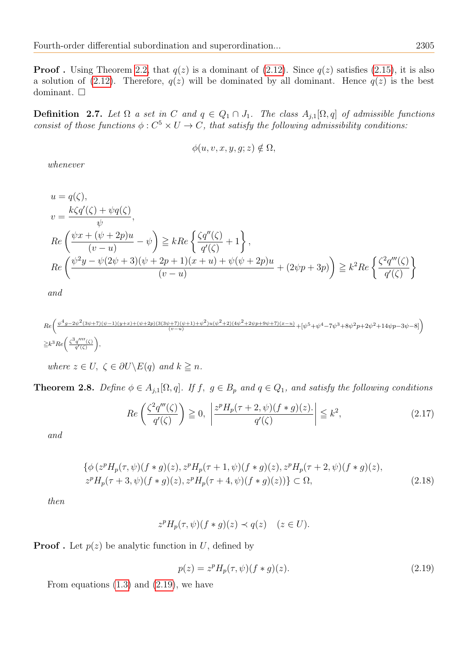**Proof**. Using Theorem [2.2,](#page-4-2) that  $q(z)$  is a dominant of [\(2.12\)](#page-6-1). Since  $q(z)$  satisfies [\(2.15\)](#page-7-0), it is also a solution of [\(2.12\)](#page-6-1). Therefore,  $q(z)$  will be dominated by all dominant. Hence  $q(z)$  is the best dominant. □

<span id="page-8-2"></span>**Definition 2.7.** Let  $\Omega$  a set in C and  $q \in Q_1 \cap J_1$ . The class  $A_{j,1}[\Omega, q]$  of admissible functions consist of those functions  $\phi: C^5 \times U \to C$ , that satisfy the following admissibility conditions.

$$
\phi(u, v, x, y, g; z) \notin \Omega,
$$

whenever

$$
u = q(\zeta),
$$
  
\n
$$
v = \frac{k\zeta q'(\zeta) + \psi q(\zeta)}{\psi},
$$
  
\n
$$
Re\left(\frac{\psi x + (\psi + 2p)u}{(\upsilon - u)} - \psi\right) \geq kRe\left\{\frac{\zeta q''(\zeta)}{q'(\zeta)} + 1\right\},
$$
  
\n
$$
Re\left(\frac{\psi^2 y - \psi(2\psi + 3)(\psi + 2p + 1)(x + u) + \psi(\psi + 2p)u}{(\upsilon - u)} + (2\psi p + 3p)\right) \geq k^2 Re\left\{\frac{\zeta^2 q'''(\zeta)}{q'(\zeta)}\right\}
$$

and

$$
Re\left(\frac{\psi^4 g - 2\psi^2 (3\psi + 7)(\psi - 1)(y+x) + (\psi + 2p)(3(3\psi + 7)(\psi + 1) + \psi^2)u(\psi^2 + 2)(4\psi^2 + 2\psi p + 9\psi + 7)(x - u)}{(v - u)} + [\psi^5 + \psi^4 - 7\psi^3 + 8\psi^2 p + 2\psi^2 + 14\psi p - 3\psi - 8]\right)
$$
  
\n
$$
\geq k^3 Re\left(\frac{\zeta^3 q'''(\zeta)}{q'(\zeta)}\right),
$$

where  $z \in U$ ,  $\zeta \in \partial U \backslash E(q)$  and  $k \geq n$ .

<span id="page-8-4"></span>**Theorem 2.8.** Define  $\phi \in A_{j,1}[\Omega, q]$ . If  $f, g \in B_p$  and  $q \in Q_1$ , and satisfy the following conditions

<span id="page-8-3"></span>
$$
Re\left(\frac{\zeta^2 q'''(\zeta)}{q'(\zeta)}\right) \ge 0, \left|\frac{z^p H_p(\tau+2,\psi)(f*g)(z)}{q'(\zeta)}\right| \le k^2,\tag{2.17}
$$

and

$$
\{\phi(z^p H_p(\tau, \psi)(f * g)(z), z^p H_p(\tau + 1, \psi)(f * g)(z), z^p H_p(\tau + 2, \psi)(f * g)(z),z^p H_p(\tau + 3, \psi)(f * g)(z), z^p H_p(\tau + 4, \psi)(f * g)(z))\} \subset \Omega,
$$
\n(2.18)

then

$$
z^p H_p(\tau, \psi)(f * g)(z) \prec q(z) \quad (z \in U).
$$

**Proof**. Let  $p(z)$  be analytic function in U, defined by

<span id="page-8-1"></span><span id="page-8-0"></span>
$$
p(z) = zp Hp(\tau, \psi)(f * g)(z).
$$
 (2.19)

From equations  $(1.3)$  and  $(2.19)$ , we have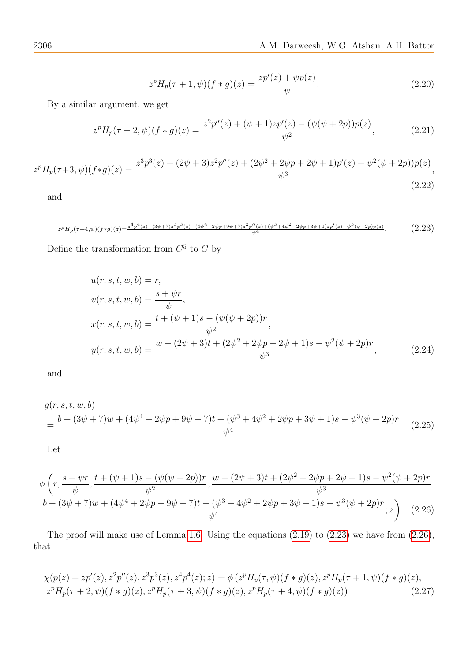$$
z^{p}H_{p}(\tau+1,\psi)(f*g)(z) = \frac{zp'(z) + \psi p(z)}{\psi}.
$$
\n(2.20)

By a similar argument, we get

$$
z^{p}H_{p}(\tau+2,\psi)(f*g)(z) = \frac{z^{2}p''(z) + (\psi+1)zp'(z) - (\psi(\psi+2p))p(z)}{\psi^{2}},
$$
\n(2.21)

$$
z^{p}H_{p}(\tau+3,\psi)(f*g)(z) = \frac{z^{3}p^{3}(z) + (2\psi+3)z^{2}p''(z) + (2\psi^{2}+2\psi p+2\psi+1)p'(z) + \psi^{2}(\psi+2p))p(z)}{\psi^{3}},
$$
\n(2.22)

and

<span id="page-9-0"></span>
$$
z^p H_p(\tau+4,\psi)(f*g)(z) = \frac{z^4 p^4(z) + (3\psi + 7)z^3 p^3(z) + (4\psi^4 + 2\psi p + 9\psi + 7)z^2 p''(z) + (\psi^3 + 4\psi^2 + 2\psi p + 3\psi + 1)zp'(z) - \psi^3(\psi + 2p)p(z)}{\psi^4}.
$$
\n
$$
(2.23)
$$

Define the transformation from  $C^5$  to C by

<span id="page-9-4"></span><span id="page-9-3"></span>
$$
u(r, s, t, w, b) = r,
$$
  
\n
$$
v(r, s, t, w, b) = \frac{s + \psi r}{\psi},
$$
  
\n
$$
x(r, s, t, w, b) = \frac{t + (\psi + 1)s - (\psi(\psi + 2p))r}{\psi^2},
$$
  
\n
$$
y(r, s, t, w, b) = \frac{w + (2\psi + 3)t + (2\psi^2 + 2\psi p + 2\psi + 1)s - \psi^2(\psi + 2p)r}{\psi^3},
$$
\n(2.24)

and

$$
g(r, s, t, w, b)
$$
  
= 
$$
\frac{b + (3\psi + 7)w + (4\psi^4 + 2\psi p + 9\psi + 7)t + (\psi^3 + 4\psi^2 + 2\psi p + 3\psi + 1)s - \psi^3(\psi + 2p)r}{\psi^4}
$$
 (2.25)

<span id="page-9-1"></span>Let

$$
\phi\left(r, \frac{s+\psi r}{\psi}, \frac{t+(\psi+1)s-(\psi(\psi+2p))r}{\psi^2}, \frac{w+(2\psi+3)t+(2\psi^2+2\psi p+2\psi+1)s-\psi^2(\psi+2p)r}{\psi^3}\right) + (3\psi+7)w+(4\psi^4+2\psi p+9\psi+7)t+(\psi^3+4\psi^2+2\psi p+3\psi+1)s-\psi^3(\psi+2p)r}{\psi^4}; z\right). \tag{2.26}
$$

The proof will make use of Lemma [1.6.](#page-3-0) Using the equations [\(2.19\)](#page-8-0) to [\(2.23\)](#page-9-0) we have from [\(2.26\)](#page-9-1), that

<span id="page-9-2"></span>
$$
\chi(p(z) + zp'(z), z^2p''(z), z^3p^3(z), z^4p^4(z); z) = \phi(z^p H_p(\tau, \psi)(f * g)(z), z^p H_p(\tau + 1, \psi)(f * g)(z),
$$
  
\n
$$
z^p H_p(\tau + 2, \psi)(f * g)(z), z^p H_p(\tau + 3, \psi)(f * g)(z), z^p H_p(\tau + 4, \psi)(f * g)(z))
$$
\n(2.27)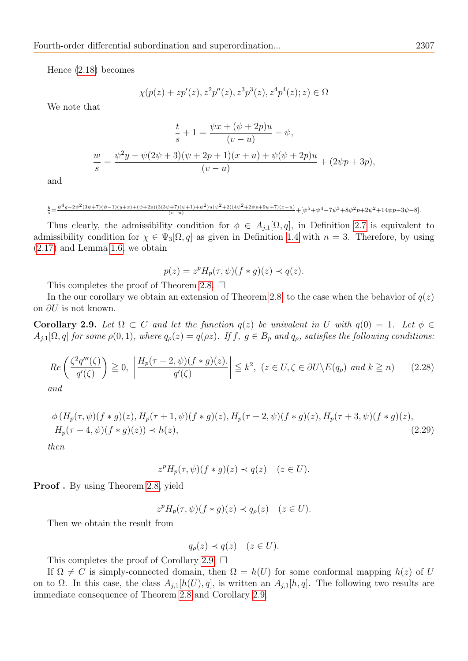Hence [\(2.18\)](#page-8-1) becomes

$$
\chi(p(z) + z p'(z), z^2 p''(z), z^3 p^3(z), z^4 p^4(z); z) \in \Omega
$$

We note that

$$
\frac{t}{s} + 1 = \frac{\psi x + (\psi + 2p)u}{(\nu - u)} - \psi,
$$
  

$$
\frac{w}{s} = \frac{\psi^2 y - \psi(2\psi + 3)(\psi + 2p + 1)(x + u) + \psi(\psi + 2p)u}{(\nu - u)} + (2\psi p + 3p),
$$

and

 $\frac{b}{s} = \frac{\psi^4 g - 2 \psi^2 (3 \psi + 7) (\psi - 1) (y + x) + (\psi + 2 p) (3 (3 \psi + 7) (\psi + 1) + \psi^2) u (\psi^2 + 2) (4 \psi^2 + 2 \psi p + 9 \psi + 7) (x - u)}{(\psi - u)} + [\psi^5 + \psi^4 - 7 \psi^3 + 8 \psi^2 p + 2 \psi^2 + 14 \psi p - 3 \psi - 8]$ 

Thus clearly, the admissibility condition for  $\phi \in A_{j,1}[\Omega, q]$ , in Definition [2.7](#page-8-2) is equivalent to admissibility condition for  $\chi \in \Psi_3[\Omega, q]$  as given in Definition [1.4](#page-2-2) with  $n = 3$ . Therefore, by using [\(2.17\)](#page-8-3) and Lemma [1.6,](#page-3-0) we obtain

$$
p(z) = zp Hp(\tau, \psi)(f * g)(z) \prec q(z).
$$

This completes the proof of Theorem [2.8.](#page-8-4)  $\square$ 

In the our corollary we obtain an extension of Theorem [2.8,](#page-8-4) to the case when the behavior of  $q(z)$ on  $\partial U$  is not known.

<span id="page-10-0"></span>Corollary 2.9. Let  $\Omega \subset C$  and let the function  $q(z)$  be univalent in U with  $q(0) = 1$ . Let  $\phi \in C$  $A_{j,1}[\Omega, q]$  for some  $\rho(0, 1)$ , where  $q_{\rho}(z) = q(\rho z)$ . If  $f, g \in B_p$  and  $q_{\rho}$ , satisfies the following conditions:

<span id="page-10-2"></span>
$$
Re\left(\frac{\zeta^2 q'''(\zeta)}{q'(\zeta)}\right) \ge 0, \ \left|\frac{H_p(\tau+2,\psi)(f*g)(z)}{q'(\zeta)}\right| \le k^2, \ (z \in U, \zeta \in \partial U \setminus E(q_\rho) \ and \ k \ge n) \tag{2.28}
$$

and

$$
\phi(H_p(\tau, \psi)(f * g)(z), H_p(\tau + 1, \psi)(f * g)(z), H_p(\tau + 2, \psi)(f * g)(z), H_p(\tau + 3, \psi)(f * g)(z),
$$
  
\n
$$
H_p(\tau + 4, \psi)(f * g)(z)) \prec h(z),
$$
\n(2.29)

then

 $z^p H_p(\tau, \psi)(f * g)(z) \prec q(z) \quad (z \in U).$ 

Proof . By using Theorem [2.8,](#page-8-4) yield

 $z^p H_p(\tau, \psi)(f * g)(z) \prec q_\rho(z) \quad (z \in U).$ 

Then we obtain the result from

<span id="page-10-1"></span> $q_{\rho}(z) \prec q(z) \quad (z \in U).$ 

This completes the proof of Corollary [2.9.](#page-10-0)  $\Box$ 

If  $\Omega \neq C$  is simply-connected domain, then  $\Omega = h(U)$  for some conformal mapping  $h(z)$  of U on to  $\Omega$ . In this case, the class  $A_{j,1}[h(U), q]$ , is written an  $A_{j,1}[h, q]$ . The following two results are immediate consequence of Theorem [2.8](#page-8-4) and Corollary [2.9.](#page-10-0)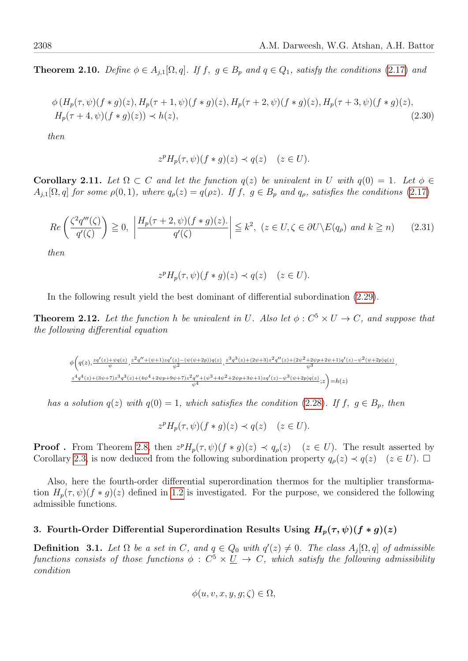**Theorem 2.10.** Define  $\phi \in A_{j,1}[\Omega, q]$ . If  $f, g \in B_p$  and  $q \in Q_1$ , satisfy the conditions [\(2.17\)](#page-8-3) and

$$
\phi(H_p(\tau, \psi)(f * g)(z), H_p(\tau + 1, \psi)(f * g)(z), H_p(\tau + 2, \psi)(f * g)(z), H_p(\tau + 3, \psi)(f * g)(z),
$$
  
\n
$$
H_p(\tau + 4, \psi)(f * g)(z)) \prec h(z),
$$
\n(2.30)

then

$$
z^p H_p(\tau, \psi)(f * g)(z) \prec q(z) \quad (z \in U).
$$

**Corollary 2.11.** Let  $\Omega \subset C$  and let the function  $q(z)$  be univalent in U with  $q(0) = 1$ . Let  $\phi \in C$  $A_{j,1}[\Omega, q]$  for some  $\rho(0,1)$ , where  $q_{\rho}(z) = q(\rho z)$ . If f,  $g \in B_p$  and  $q_{\rho}$ , satisfies the conditions [\(2.17\)](#page-8-3)

$$
Re\left(\frac{\zeta^2 q'''(\zeta)}{q'(\zeta)}\right) \ge 0, \ \left|\frac{H_p(\tau+2,\psi)(f*g)(z)}{q'(\zeta)}\right| \le k^2, \ (z \in U, \zeta \in \partial U \setminus E(q_\rho) \ and \ k \ge n) \tag{2.31}
$$

then

$$
z^p H_p(\tau, \psi)(f * g)(z) \prec q(z) \quad (z \in U).
$$

In the following result yield the best dominant of differential subordination [\(2.29\)](#page-10-1).

**Theorem 2.12.** Let the function h be univalent in U. Also let  $\phi : C^5 \times U \to C$ , and suppose that the following differential equation

$$
\begin{array}{l} \phi\bigg(q(z),\frac{zq'(z)+\psi q(z)}{\psi},\frac{z^2q''+(\psi+1)zq'(z)-(\psi(\psi+2p))q(z)}{\psi^2},\frac{z^3q^3(z)+(2\psi+3)z^2q''(z)+(2\psi^2+2\psi p+2\psi+1)q'(z)-\psi^2(\psi+2p)q(z)}{\psi^3},\\ \frac{z^4q^4(z)+(3\psi+7)z^3q^3(z)+(4\psi^4+2\psi p+9\psi+7)z^2q''+(\psi^3+4\psi^2+2\psi p+3\psi+1)zq'(z)-\psi^3(\psi+2p)q(z)}{\psi^4}; \end{array}
$$

has a solution  $q(z)$  with  $q(0) = 1$ , which satisfies the condition [\(2.28\)](#page-10-2). If  $f, g \in B_p$ , then

$$
z^p H_p(\tau, \psi)(f * g)(z) \prec q(z) \quad (z \in U).
$$

**Proof**. From Theorem [2.8,](#page-8-4) then  $z^p H_p(\tau, \psi)(f * g)(z) \prec q_\rho(z)$   $(z \in U)$ . The result asserted by Corollary [2.3,](#page-6-0) is now deduced from the following subordination property  $q_\rho(z) \prec q(z) \quad (z \in U)$ .  $\Box$ 

Also, here the fourth-order differential superordination thermos for the multiplier transformation  $H_p(\tau, \psi)(f * g)(z)$  defined in [1.2](#page-2-3) is investigated. For the purpose, we considered the following admissible functions.

## 3. Fourth-Order Differential Superordination Results Using  $H_p(\tau, \psi)(f * g)(z)$

**Definition** 3.1. Let  $\Omega$  be a set in C, and  $q \in Q_0$  with  $q'(z) \neq 0$ . The class  $A_j[\Omega, q]$  of admissible functions consists of those functions  $\phi : C^5 \times \underline{U} \to C$ , which satisfy the following admissibility condition

$$
\phi(u, v, x, y, g; \zeta) \in \Omega,
$$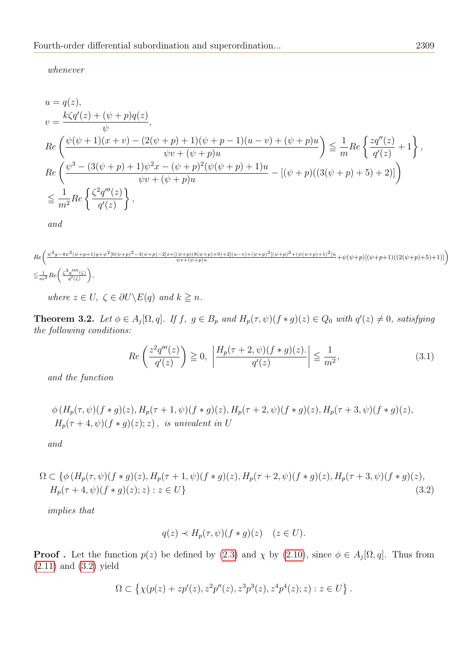whenever

$$
u = q(z),
$$
  
\n
$$
v = \frac{k\zeta q'(z) + (\psi + p)q(z)}{\psi},
$$
  
\n
$$
Re\left(\frac{\psi(\psi + 1)(x + v) - (2(\psi + p) + 1)(\psi + p - 1)(u - v) + (\psi + p)u}{\psi v + (\psi + p)u}\right) \le \frac{1}{m}Re\left\{\frac{zq''(z)}{q'(z)} + 1\right\},
$$
  
\n
$$
Re\left(\frac{\psi^3 - (3(\psi + p) + 1)\psi^2 x - (\psi + p)^2(\psi(\psi + p) + 1)u}{\psi v + (\psi + p)u} - [(\psi + p)((3(\psi + p) + 5) + 2)]\right)
$$
  
\n
$$
\le \frac{1}{m^2}Re\left\{\frac{\zeta^2 q'''(z)}{q'(z)}\right\},
$$

and

 $Re \bigg(\frac{\psi^4 g - 4 \psi^3 (\psi+p+1) y + \psi^2 [6 (\psi+p)^2 - 3 (\psi+p)-2] x + [(\psi+p)(8 (\psi+p)+9) + 2] (u-v) + (\psi+p)^2 [(\psi+p)^2 + (\psi (\psi+p)+1)^2] u }{ \psi v + (\psi+p) u } + \psi (\psi+p) [(\psi+p+1)((2 (\psi+p)+5)+1)] \bigg)$  $\leq \frac{1}{m^3}Re\left(\frac{\zeta^3 q''''(\zeta)}{q'(\zeta)}\right)$ ,

where  $z \in U$ ,  $\zeta \in \partial U \backslash E(q)$  and  $k \geq n$ .

<span id="page-12-1"></span>**Theorem 3.2.** Let  $\phi \in A_j[\Omega, q]$ . If  $f, g \in B_p$  and  $H_p(\tau, \psi)(f * g)(z) \in Q_0$  with  $q'(z) \neq 0$ , satisfying the following conditions:

<span id="page-12-2"></span>
$$
Re\left(\frac{z^2q'''(z)}{q'(z)}\right) \ge 0, \left|\frac{H_p(\tau+2,\psi)(f*g)(z)}{q'(z)}\right| \le \frac{1}{m^2},\tag{3.1}
$$

and the function

$$
\phi(H_p(\tau,\psi)(f*g)(z),H_p(\tau+1,\psi)(f*g)(z),H_p(\tau+2,\psi)(f*g)(z),H_p(\tau+3,\psi)(f*g)(z),
$$
  

$$
H_p(\tau+4,\psi)(f*g)(z);z), \text{ is univalent in } U
$$

and

$$
\Omega \subset \{\phi \left(H_p(\tau,\psi)(f*g)(z), H_p(\tau+1,\psi)(f*g)(z), H_p(\tau+2,\psi)(f*g)(z), H_p(\tau+3,\psi)(f*g)(z),\right. \\
\left. H_p(\tau+4,\psi)(f*g)(z); z) : z \in U\}\n\tag{3.2}
$$

implies that

<span id="page-12-0"></span>
$$
q(z) \prec H_p(\tau, \psi)(f * g)(z) \quad (z \in U).
$$

**Proof**. Let the function  $p(z)$  be defined by [\(2.3\)](#page-5-0) and  $\chi$  by [\(2.10\)](#page-5-4), since  $\phi \in A_j[\Omega, q]$ . Thus from [\(2.11\)](#page-6-2) and [\(3.2\)](#page-12-0) yield

$$
\Omega \subset \left\{ \chi(p(z) + zp'(z), z^2p''(z), z^3p^3(z), z^4p^4(z); z) : z \in U \right\}.
$$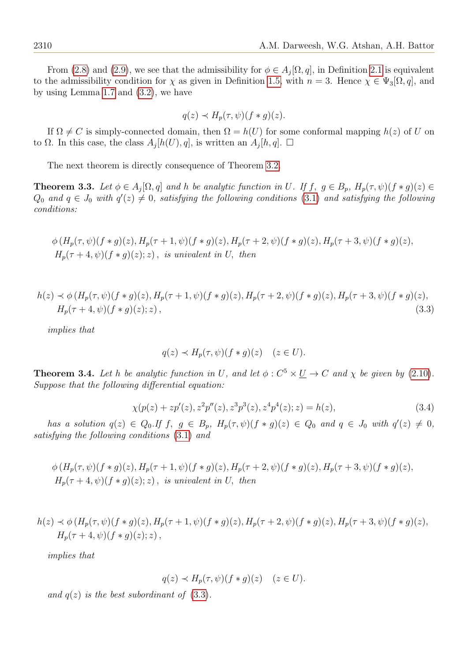From [\(2.8\)](#page-5-3) and [\(2.9\)](#page-5-5), we see that the admissibility for  $\phi \in A_j[\Omega, q]$ , in Definition [2.1](#page-4-1) is equivalent to the admissibility condition for  $\chi$  as given in Definition [1.5,](#page-3-1) with  $n = 3$ . Hence  $\chi \in \Psi_3[\Omega, q]$ , and by using Lemma [1.7](#page-3-2) and [\(3.2\)](#page-12-0), we have

$$
q(z) \prec H_p(\tau, \psi)(f * g)(z).
$$

If  $\Omega \neq C$  is simply-connected domain, then  $\Omega = h(U)$  for some conformal mapping  $h(z)$  of U on to  $\Omega$ . In this case, the class  $A_j[h(U), q]$ , is written an  $A_j[h, q]$ .  $\Box$ 

The next theorem is directly consequence of Theorem [3.2.](#page-12-1)

<span id="page-13-1"></span>**Theorem 3.3.** Let  $\phi \in A_j[\Omega, q]$  and h be analytic function in U. If  $f, g \in B_p$ ,  $H_p(\tau, \psi)(f * g)(z) \in$  $Q_0$  and  $q \in J_0$  with  $q'(z) \neq 0$ , satisfying the following conditions [\(3.1\)](#page-12-2) and satisfying the following conditions:

$$
\phi(H_p(\tau,\psi)(f*g)(z),H_p(\tau+1,\psi)(f*g)(z),H_p(\tau+2,\psi)(f*g)(z),H_p(\tau+3,\psi)(f*g)(z),
$$
  

$$
H_p(\tau+4,\psi)(f*g)(z); z), \text{ is univalent in } U, \text{ then}
$$

$$
h(z) \prec \phi(H_p(\tau, \psi)(f * g)(z), H_p(\tau + 1, \psi)(f * g)(z), H_p(\tau + 2, \psi)(f * g)(z), H_p(\tau + 3, \psi)(f * g)(z),
$$
  
\n
$$
H_p(\tau + 4, \psi)(f * g)(z); z),
$$
\n(3.3)

implies that

<span id="page-13-0"></span>
$$
q(z) \prec H_p(\tau, \psi)(f * g)(z) \quad (z \in U).
$$

**Theorem 3.4.** Let h be analytic function in U, and let  $\phi : C^5 \times \underline{U} \to C$  and  $\chi$  be given by [\(2.10\)](#page-5-4). Suppose that the following differential equation:

<span id="page-13-2"></span>
$$
\chi(p(z) + zp'(z), z^2p''(z), z^3p^3(z), z^4p^4(z); z) = h(z),
$$
\n(3.4)

has a solution  $q(z) \in Q_0$ . If  $f, g \in B_p$ ,  $H_p(\tau, \psi)(f * g)(z) \in Q_0$  and  $q \in J_0$  with  $q'(z) \neq 0$ , satisfying the following conditions [\(3.1\)](#page-12-2) and

$$
\phi(H_p(\tau,\psi)(f*g)(z),H_p(\tau+1,\psi)(f*g)(z),H_p(\tau+2,\psi)(f*g)(z),H_p(\tau+3,\psi)(f*g)(z),
$$
  

$$
H_p(\tau+4,\psi)(f*g)(z); z), \text{ is univalent in } U, \text{ then}
$$

$$
h(z) \prec \phi(H_p(\tau, \psi)(f * g)(z), H_p(\tau + 1, \psi)(f * g)(z), H_p(\tau + 2, \psi)(f * g)(z), H_p(\tau + 3, \psi)(f * g)(z),
$$
  

$$
H_p(\tau + 4, \psi)(f * g)(z); z),
$$

implies that

$$
q(z) \prec H_p(\tau, \psi)(f * g)(z) \quad (z \in U).
$$

and  $q(z)$  is the best subordinant of  $(3.3)$ .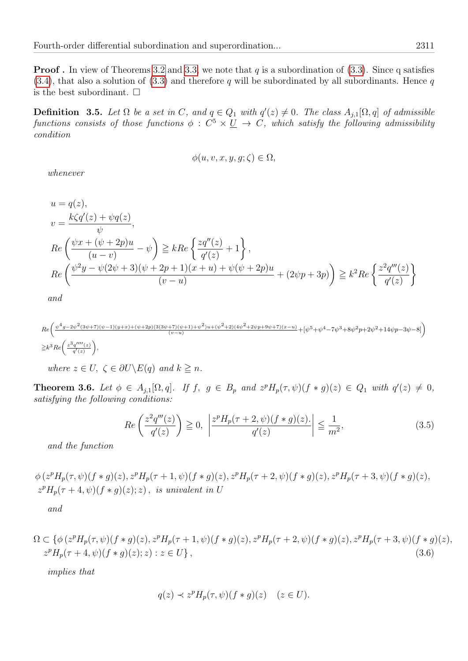**Proof.** In view of Theorems [3.2](#page-12-1) and [3.3,](#page-13-1) we note that  $q$  is a subordination of  $(3.3)$ . Since q satisfies  $(3.4)$ , that also a solution of  $(3.3)$  and therefore q will be subordinated by all subordinants. Hence q is the best subordinant.  $\square$ 

**Definition** 3.5. Let  $\Omega$  be a set in C, and  $q \in Q_1$  with  $q'(z) \neq 0$ . The class  $A_{j,1}[\Omega, q]$  of admissible functions consists of those functions  $\phi : C^5 \times \underline{U} \to C$ , which satisfy the following admissibility condition

$$
\phi(u, v, x, y, g; \zeta) \in \Omega,
$$

whenever

$$
u = q(z),
$$
  
\n
$$
v = \frac{k\zeta q'(z) + \psi q(z)}{\psi},
$$
  
\n
$$
Re\left(\frac{\psi x + (\psi + 2p)u}{(u - v)} - \psi\right) \geq kRe\left\{\frac{zq''(z)}{q'(z)} + 1\right\},
$$
  
\n
$$
Re\left(\frac{\psi^2 y - \psi(2\psi + 3)(\psi + 2p + 1)(x + u) + \psi(\psi + 2p)u}{(v - u)} + (2\psi p + 3p)\right) \geq k^2 Re\left\{\frac{z^2 q'''(z)}{q'(z)}\right\}
$$

and

$$
Re\left(\frac{\psi^4 g - 2\psi^2 (3\psi + 7)(\psi - 1)(y+x) + (\psi + 2p)(3(3\psi + 7)(\psi + 1) + \psi^2)u + (\psi^2 + 2)(4\psi^2 + 2\psi p + 9\psi + 7)(x - u)}{(v - u)} + [\psi^5 + \psi^4 - 7\psi^3 + 8\psi^2 p + 2\psi^2 + 14\psi p - 3\psi - 8]\right)
$$
  
\n
$$
\geq k^3 Re\left(\frac{z^3 q'''(z)}{q'(z)}\right),
$$
  
\nwhere  $z \in U$ ,  $\zeta \in \partial U \setminus E(q)$  and  $k \geq n$ .

<span id="page-14-1"></span>**Theorem 3.6.** Let  $\phi \in A_{j,1}[\Omega, q]$ . If  $f, g \in B_p$  and  $z^p H_p(\tau, \psi)(f * g)(z) \in Q_1$  with  $q'(z) \neq 0$ , satisfying the following conditions:

<span id="page-14-2"></span>
$$
Re\left(\frac{z^2q'''(z)}{q'(z)}\right) \ge 0, \left|\frac{z^pH_p(\tau+2,\psi)(f*g)(z)}{q'(z)}\right| \le \frac{1}{m^2},\tag{3.5}
$$

and the function

 $\phi(z^pH_p(\tau,\psi)(f*g)(z), z^pH_p(\tau+1,\psi)(f*g)(z), z^pH_p(\tau+2,\psi)(f*g)(z), z^pH_p(\tau+3,\psi)(f*g)(z),$  $z<sup>p</sup>H<sub>p</sub>(\tau + 4, \psi)(f * g)(z); z)$ , is univalent in U

and

$$
\Omega \subset \{\phi(z^p H_p(\tau, \psi)(f * g)(z), z^p H_p(\tau + 1, \psi)(f * g)(z), z^p H_p(\tau + 2, \psi)(f * g)(z), z^p H_p(\tau + 3, \psi)(f * g)(z), z^p H_p(\tau + 4, \psi)(f * g)(z); z) : z \in U\},\tag{3.6}
$$

implies that

<span id="page-14-0"></span>
$$
q(z) \prec z^p H_p(\tau, \psi)(f * g)(z) \quad (z \in U).
$$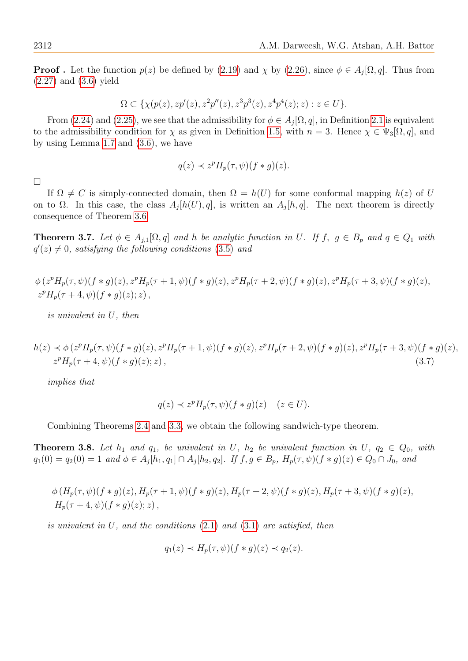**Proof**. Let the function  $p(z)$  be defined by [\(2.19\)](#page-8-0) and  $\chi$  by [\(2.26\)](#page-9-1), since  $\phi \in A_j[\Omega, q]$ . Thus from [\(2.27\)](#page-9-2) and [\(3.6\)](#page-14-0) yield

$$
\Omega \subset \{ \chi(p(z), z p'(z), z^2 p''(z), z^3 p^3(z), z^4 p^4(z); z) : z \in U \}.
$$

From [\(2.24\)](#page-9-3) and [\(2.25\)](#page-9-4), we see that the admissibility for  $\phi \in A_j[\Omega, q]$ , in Definition [2.1](#page-4-1) is equivalent to the admissibility condition for  $\chi$  as given in Definition [1.5,](#page-3-1) with  $n = 3$ . Hence  $\chi \in \Psi_3[\Omega, q]$ , and by using Lemma [1.7](#page-3-2) and [\(3.6\)](#page-14-0), we have

$$
q(z) \prec z^p H_p(\tau, \psi)(f * g)(z).
$$

□

If  $\Omega \neq C$  is simply-connected domain, then  $\Omega = h(U)$  for some conformal mapping  $h(z)$  of U on to  $\Omega$ . In this case, the class  $A_j[h(U), q]$ , is written an  $A_j[h, q]$ . The next theorem is directly consequence of Theorem [3.6.](#page-14-1)

**Theorem 3.7.** Let  $\phi \in A_{j,1}[\Omega, q]$  and h be analytic function in U. If  $f, g \in B_p$  and  $q \in Q_1$  with  $q'(z) \neq 0$ , satisfying the following conditions [\(3.5\)](#page-14-2) and

$$
\phi(z^p H_p(\tau, \psi)(f * g)(z), z^p H_p(\tau + 1, \psi)(f * g)(z), z^p H_p(\tau + 2, \psi)(f * g)(z), z^p H_p(\tau + 3, \psi)(f * g)(z),
$$
  

$$
z^p H_p(\tau + 4, \psi)(f * g)(z); z),
$$

is univalent in U, then

$$
h(z) \prec \phi(z^p H_p(\tau, \psi)(f * g)(z), z^p H_p(\tau + 1, \psi)(f * g)(z), z^p H_p(\tau + 2, \psi)(f * g)(z), z^p H_p(\tau + 3, \psi)(f * g)(z),
$$
  

$$
z^p H_p(\tau + 4, \psi)(f * g)(z); z),
$$
 (3.7)

implies that

$$
q(z) \prec z^p H_p(\tau, \psi)(f * g)(z) \quad (z \in U).
$$

Combining Theorems [2.4](#page-7-1) and [3.3,](#page-13-1) we obtain the following sandwich-type theorem.

**Theorem 3.8.** Let  $h_1$  and  $q_1$ , be univalent in U,  $h_2$  be univalent function in U,  $q_2 \in Q_0$ , with  $q_1(0) = q_2(0) = 1$  and  $\phi \in A_j[h_1, q_1] \cap A_j[h_2, q_2]$ . If  $f, g \in B_p$ ,  $H_p(\tau, \psi)(f * g)(z) \in Q_0 \cap J_0$ , and

$$
\phi(H_p(\tau, \psi)(f * g)(z), H_p(\tau + 1, \psi)(f * g)(z), H_p(\tau + 2, \psi)(f * g)(z), H_p(\tau + 3, \psi)(f * g)(z),
$$
  

$$
H_p(\tau + 4, \psi)(f * g)(z); z),
$$

is univalent in U, and the conditions  $(2.1)$  and  $(3.1)$  are satisfied, then

$$
q_1(z) \prec H_p(\tau, \psi)(f * g)(z) \prec q_2(z).
$$